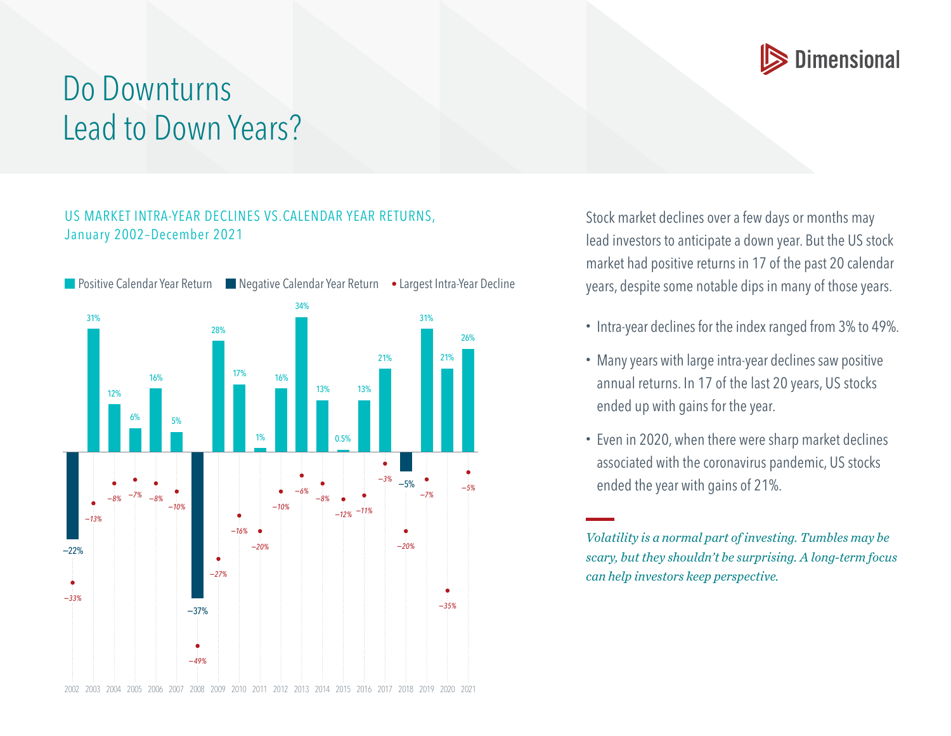

## Do Downturns Lead to Down Years?

## US MARKET INTRA-YEAR DECLINES VS.CALENDAR YEAR RETURNS, January 2002–December 2021



Stock market declines over a few days or months may lead investors to anticipate a down year. But the US stock market had positive returns in 17 of the past 20 calendar years, despite some notable dips in many of those years.

- Intra-year declines for the index ranged from 3% to 49%.
- Many years with large intra-year declines saw positive annual returns. In 17 of the last 20 years, US stocks ended up with gains for the year.
- Even in 2020, when there were sharp market declines associated with the coronavirus pandemic, US stocks ended the year with gains of 21%.

*Volatility is a normal part of investing. Tumbles may be scary, but they shouldn't be surprising. A long-term focus can help investors keep perspective.*